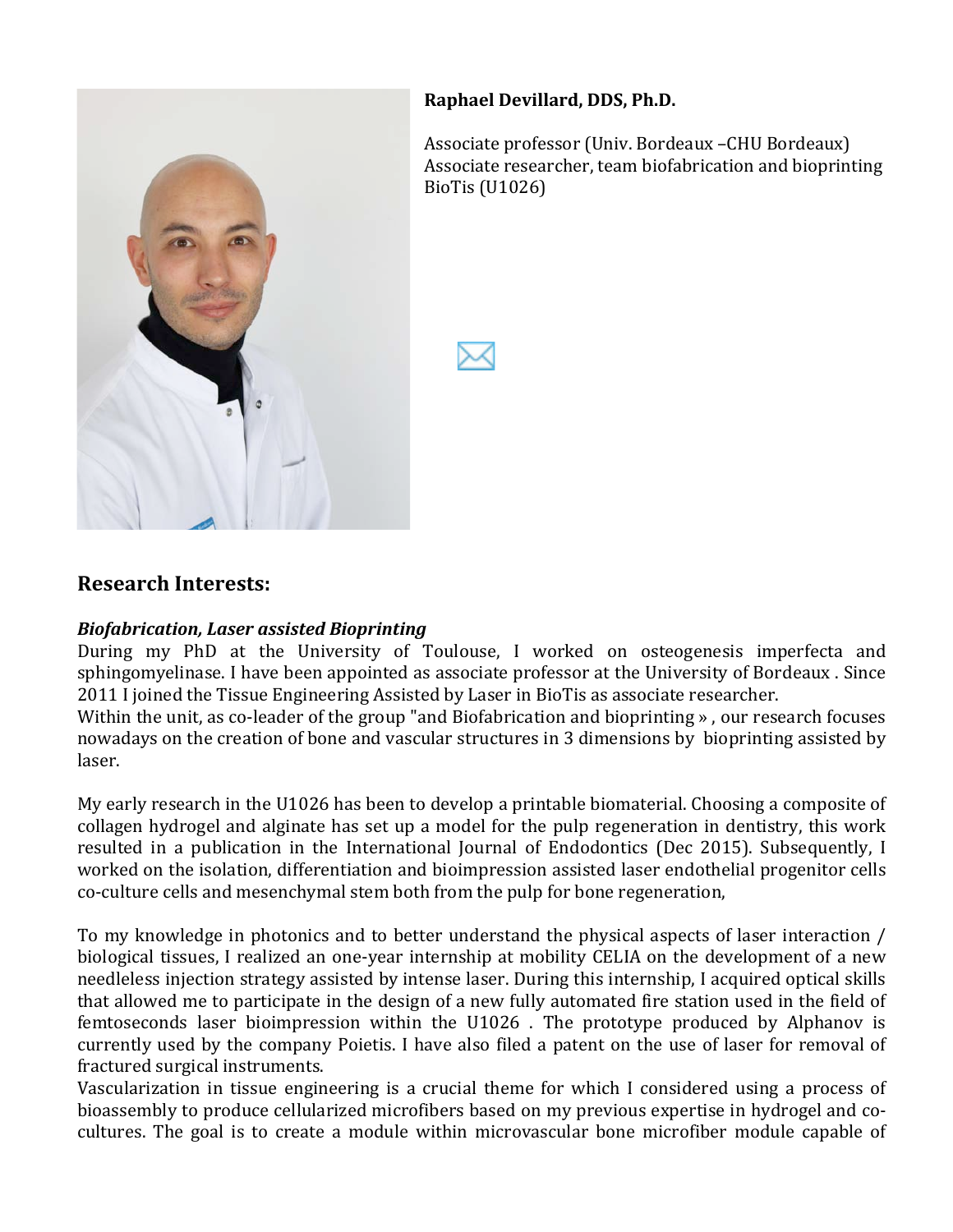

#### **Raphael'Devillard, DDS, Ph.D.**

Associate professor (Univ. Bordeaux –CHU Bordeaux) Associate researcher, team biofabrication and bioprinting BioTis (U1026)



#### **Research'Interests:**

#### *Biofabrication, Laser assisted Bioprinting*

During my PhD at the University of Toulouse, I worked on osteogenesis imperfecta and sphingomyelinase. I have been appointed as associate professor at the University of Bordeaux . Since 2011 I joined the Tissue Engineering Assisted by Laser in BioTis as associate researcher.

Within the unit, as co-leader of the group "and Biofabrication and bioprinting », our research focuses nowadays on the creation of bone and vascular structures in 3 dimensions by bioprinting assisted by laser.

My early research in the U1026 has been to develop a printable biomaterial. Choosing a composite of collagen) hydrogel and alginate has set up a model for the pulp regeneration in dentistry, this work resulted in a publication in the International Journal of Endodontics (Dec 2015). Subsequently, I worked on the isolation, differentiation and bioimpression assisted laser endothelial progenitor cells co-culture cells and mesenchymal stem both from the pulp for bone regeneration,

To) my knowledge in photonics and to better understand the physical aspects of laser interaction / biological tissues, I realized an one-year internship at mobility CELIA on the development of a new needleless injection strategy assisted by intense laser. During this internship, I acquired optical skills that allowed me to participate in the design of a new fully automated fire station used in the field of femtoseconds laser bioimpression within the U1026. The prototype produced by Alphanov is currently used by the company Poietis. I have also filed a patent on the use of laser for removal of fractured surgical instruments.

Vascularization in tissue engineering is a crucial theme for which I considered using a process of bioassembly to produce cellularized microfibers based on my previous expertise in hydrogel and cocultures. The goal is to create a module within microvascular bone microfiber module capable of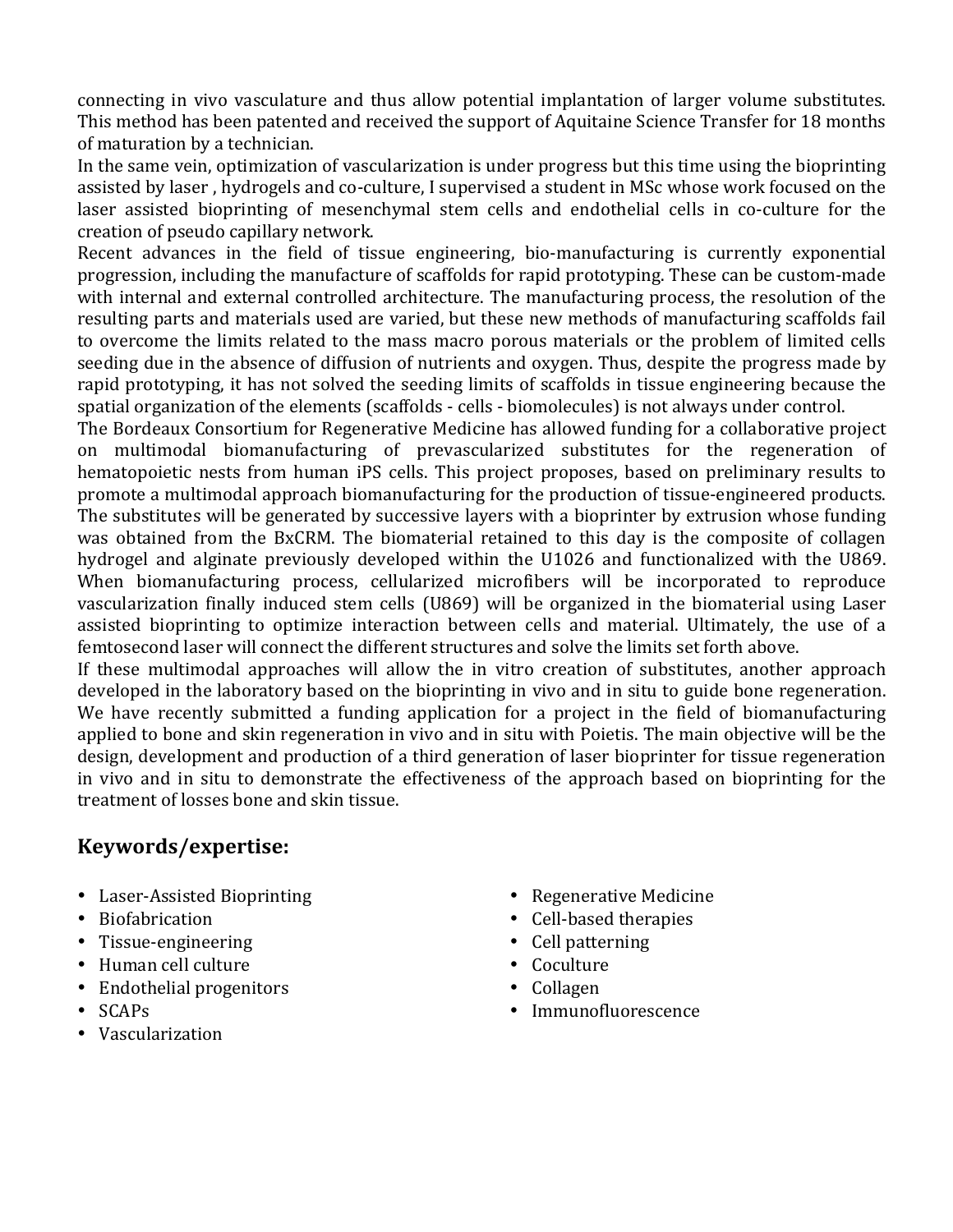connecting in vivo vasculature and thus allow potential implantation of larger volume substitutes. This method has been patented and received the support of Aquitaine Science Transfer for 18 months of maturation by a technician.

In the same vein, optimization of vascularization is under progress but this time using the bioprinting assisted by laser, hydrogels and co-culture, I supervised a student in MSc whose work focused on the laser assisted bioprinting of mesenchymal stem cells and endothelial cells in co-culture for the creation of pseudo capillary network.

Recent advances in the field of tissue engineering, bio-manufacturing is currently exponential progression, including the manufacture of scaffolds for rapid prototyping. These can be custom-made with)internal) and external controlled architecture. The manufacturing process, the resolution of the resulting parts and materials used are varied, but these new methods of manufacturing scaffolds fail to) overcome the limits related to the mass macro porous materials or the problem of limited cells seeding due in the absence of diffusion of nutrients and oxygen. Thus, despite the progress made by rapid prototyping, it has not solved the seeding limits of scaffolds in tissue engineering because the spatial organization of the elements (scaffolds - cells - biomolecules) is not always under control.

The Bordeaux Consortium for Regenerative Medicine has allowed funding for a collaborative project on multimodal biomanufacturing of prevascularized substitutes for the regeneration of hematopoietic nests from human iPS cells. This project proposes, based on preliminary results to promote a multimodal approach biomanufacturing for the production of tissue-engineered products. The substitutes will be generated by successive layers with a bioprinter by extrusion whose funding was obtained from the BxCRM. The biomaterial retained to this day is the composite of collagen hydrogel and alginate previously developed within the U1026 and functionalized with the U869. When biomanufacturing process, cellularized microfibers will be incorporated to reproduce vascularization) finally) induced) stem) cells) (U869) will) be) organized) in) the) biomaterial) using) Laser) assisted bioprinting to optimize interaction between cells and material. Ultimately, the use of a femtosecond laser will connect the different structures and solve the limits set forth above.

If these multimodal approaches will allow the in vitro creation of substitutes, another approach developed in the laboratory based on the bioprinting in vivo and in situ to guide bone regeneration. We have recently submitted a funding application for a project in the field of biomanufacturing applied to bone and skin regeneration in vivo and in situ with Poietis. The main objective will be the design, development and production of a third generation of laser bioprinter for tissue regeneration in vivo and in situ to demonstrate the effectiveness of the approach based on bioprinting for the treatment of losses bone and skin tissue.

## **Keywords/expertise:**

- Laser-Assisted Bioprinting
- Biofabrication
- $\cdot$  Tissue-engineering
- Human cell culture
- Endothelial progenitors
- SCAPs
- Vascularization
- Regenerative Medicine
- Cell-based therapies
- Cell patterning
- Coculture
- Collagen
- Immunofluorescence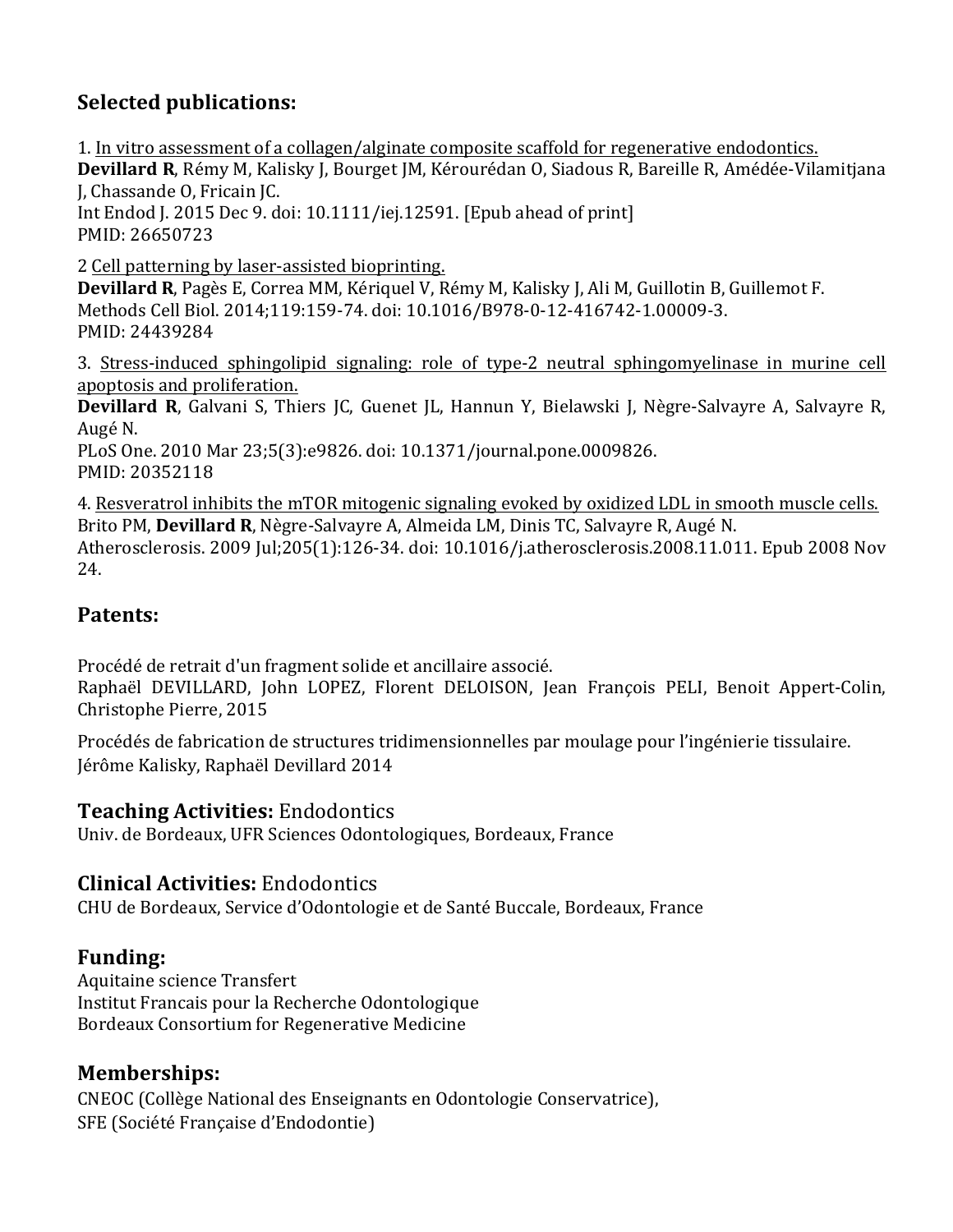# **Selected'publications:**

1. In vitro assessment of a collagen/alginate composite scaffold for regenerative endodontics. Devillard R, Rémy M, Kalisky J, Bourget JM, Kérourédan O, Siadous R, Bareille R, Amédée-Vilamitjana J, Chassande O, Fricain JC. Int Endod J. 2015 Dec 9. doi: 10.1111/iej.12591. [Epub ahead of print] PMID:)26650723 2) Cell patterning by laser-assisted bioprinting. Devillard R, Pagès E, Correa MM, Kériquel V, Rémy M, Kalisky J, Ali M, Guillotin B, Guillemot F. Methods Cell Biol. 2014;119:159-74. doi: 10.1016/B978-0-12-416742-1.00009-3. PMID: 24439284

3. Stress-induced sphingolipid signaling: role of type-2 neutral sphingomyelinase in murine cell apoptosis and proliferation.

**Devillard R**, Galvani S, Thiers JC, Guenet JL, Hannun Y, Bielawski J, Nègre-Salvayre A, Salvayre R, Augé<sub>N.</sub>

PLoS One. 2010 Mar 23;5(3):e9826. doi: 10.1371/journal.pone.0009826. PMID: 20352118

4. Resveratrol inhibits the mTOR mitogenic signaling evoked by oxidized LDL in smooth muscle cells. Brito PM, **Devillard R**, Nègre-Salvayre A, Almeida LM, Dinis TC, Salvayre R, Augé N. Atherosclerosis. 2009 Jul;205(1):126-34. doi: 10.1016/j.atherosclerosis.2008.11.011. Epub 2008 Nov 24.

# **Patents:**

Procédé de retrait d'un fragment solide et ancillaire associé.

Raphaël DEVILLARD, John LOPEZ, Florent DELOISON, Jean François PELI, Benoit Appert-Colin, Christophe Pierre, 2015

Procédés de fabrication de structures tridimensionnelles par moulage pour l'ingénierie tissulaire. Jérôme Kalisky, Raphaël Devillard 2014

## **Teaching'Activities:** Endodontics

Univ. de Bordeaux, UFR Sciences Odontologiques, Bordeaux, France

## **Clinical'Activities:** Endodontics

CHU de Bordeaux, Service d'Odontologie et de Santé Buccale, Bordeaux, France

## **Funding:**

Aquitaine science Transfert Institut Francais pour la Recherche Odontologique Bordeaux Consortium for Regenerative Medicine

## **Memberships:**

CNEOC (Collège National des Enseignants en Odontologie Conservatrice), SFE (Société Française d'Endodontie)